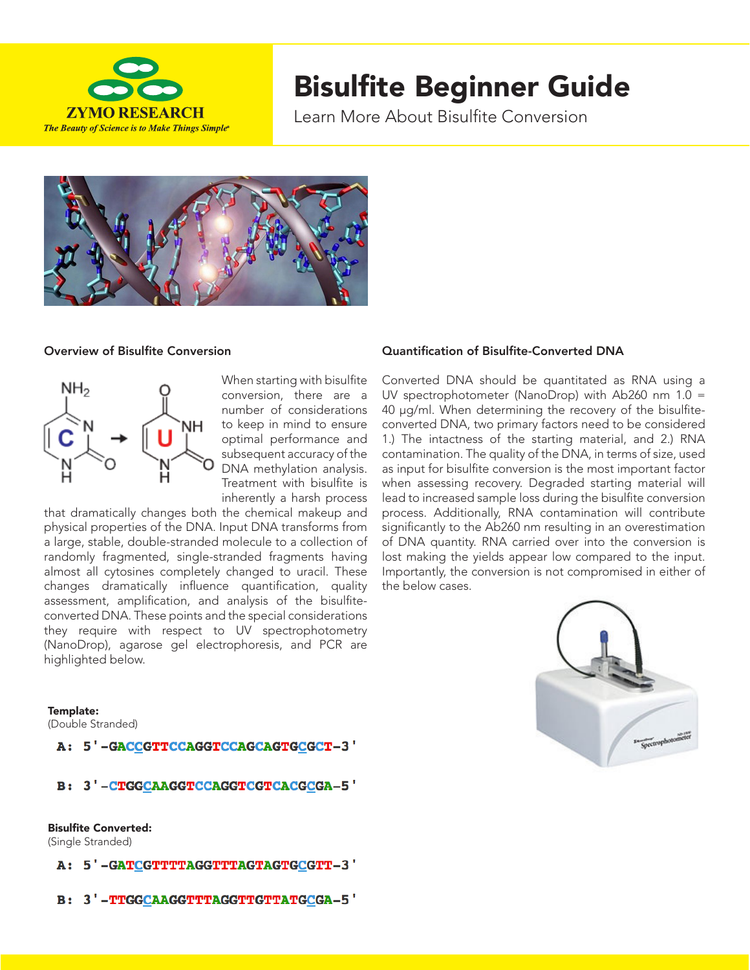

# Bisulfite Beginner Guide

Learn More About Bisulfite Conversion



## Overview of Bisulfite Conversion



When starting with bisulfite conversion, there are a number of considerations to keep in mind to ensure optimal performance and subsequent accuracy of the DNA methylation analysis. Treatment with bisulfite is inherently a harsh process

that dramatically changes both the chemical makeup and physical properties of the DNA. Input DNA transforms from a large, stable, double-stranded molecule to a collection of randomly fragmented, single-stranded fragments having almost all cytosines completely changed to uracil. These changes dramatically influence quantification, quality assessment, amplification, and analysis of the bisulfiteconverted DNA. These points and the special considerations they require with respect to UV spectrophotometry (NanoDrop), agarose gel electrophoresis, and PCR are highlighted below.

#### Template:

(Double Stranded)

A: 5'-GACCGTTCCAGGTCCAGCAGTGCGCT-3'

B: 3'-CTGGCAAGGTCCAGGTCGTCACGCGA-5'

## Bisulfite Converted:

(Single Stranded)

- A: 5'-GATCGTTTTAGGTTTAGTAGTGCGTT-3'
- B: 3'-TTGGCAAGGTTTAGGTTGTTATGCGA-5'

## Quantification of Bisulfite-Converted DNA

Converted DNA should be quantitated as RNA using a UV spectrophotometer (NanoDrop) with Ab260 nm 1.0 = 40 µg/ml. When determining the recovery of the bisulfiteconverted DNA, two primary factors need to be considered 1.) The intactness of the starting material, and 2.) RNA contamination. The quality of the DNA, in terms of size, used as input for bisulfite conversion is the most important factor when assessing recovery. Degraded starting material will lead to increased sample loss during the bisulfite conversion process. Additionally, RNA contamination will contribute significantly to the Ab260 nm resulting in an overestimation of DNA quantity. RNA carried over into the conversion is lost making the yields appear low compared to the input. Importantly, the conversion is not compromised in either of the below cases.

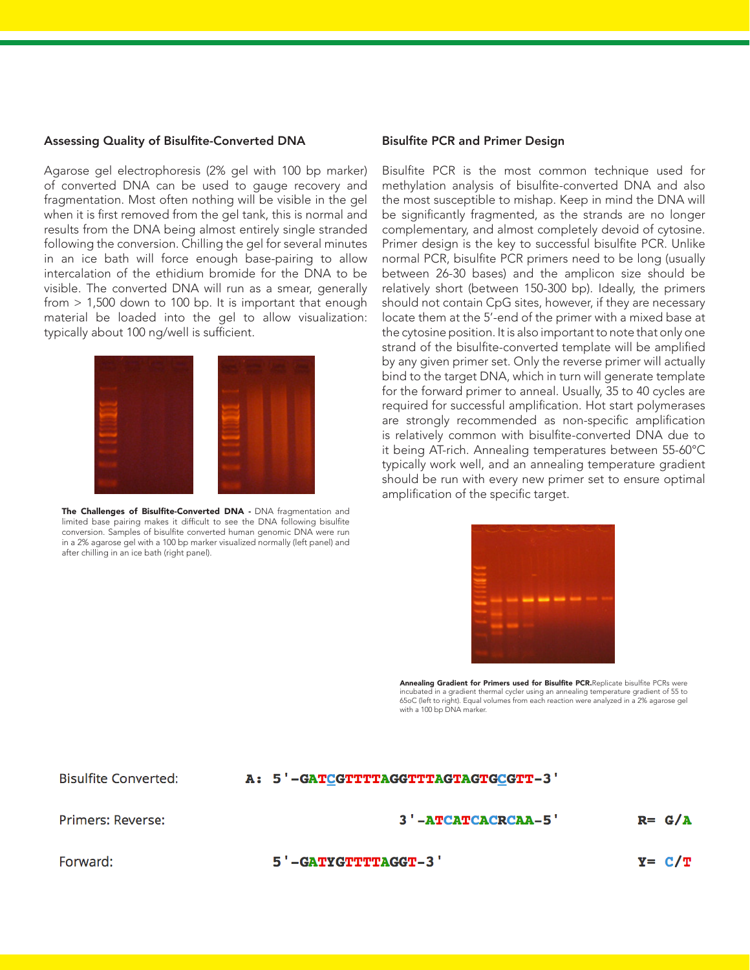#### Assessing Quality of Bisulfite-Converted DNA

Agarose gel electrophoresis (2% gel with 100 bp marker) of converted DNA can be used to gauge recovery and fragmentation. Most often nothing will be visible in the gel when it is first removed from the gel tank, this is normal and results from the DNA being almost entirely single stranded following the conversion. Chilling the gel for several minutes in an ice bath will force enough base-pairing to allow intercalation of the ethidium bromide for the DNA to be visible. The converted DNA will run as a smear, generally from > 1,500 down to 100 bp. It is important that enough material be loaded into the gel to allow visualization: typically about 100 ng/well is sufficient.



The Challenges of Bisulfite-Converted DNA - DNA fragmentation and limited base pairing makes it difficult to see the DNA following bisulfite conversion. Samples of bisulfite converted human genomic DNA were run in a 2% agarose gel with a 100 bp marker visualized normally (left panel) and after chilling in an ice bath (right panel).

#### Bisulfite PCR and Primer Design

Bisulfite PCR is the most common technique used for methylation analysis of bisulfite-converted DNA and also the most susceptible to mishap. Keep in mind the DNA will be significantly fragmented, as the strands are no longer complementary, and almost completely devoid of cytosine. Primer design is the key to successful bisulfite PCR. Unlike normal PCR, bisulfite PCR primers need to be long (usually between 26-30 bases) and the amplicon size should be relatively short (between 150-300 bp). Ideally, the primers should not contain CpG sites, however, if they are necessary locate them at the 5'-end of the primer with a mixed base at the cytosine position. It is also important to note that only one strand of the bisulfite-converted template will be amplified by any given primer set. Only the reverse primer will actually bind to the target DNA, which in turn will generate template for the forward primer to anneal. Usually, 35 to 40 cycles are required for successful amplification. Hot start polymerases are strongly recommended as non-specific amplification is relatively common with bisulfite-converted DNA due to it being AT-rich. Annealing temperatures between 55-60°C typically work well, and an annealing temperature gradient should be run with every new primer set to ensure optimal amplification of the specific target.

| and stand state former work and state state of the |  |                                                 |  |
|----------------------------------------------------|--|-------------------------------------------------|--|
|                                                    |  |                                                 |  |
|                                                    |  |                                                 |  |
|                                                    |  |                                                 |  |
| $\overline{\phantom{a}}$                           |  |                                                 |  |
|                                                    |  |                                                 |  |
| -                                                  |  | <b><i><u> Indian American American </u></i></b> |  |
|                                                    |  |                                                 |  |
|                                                    |  |                                                 |  |
|                                                    |  |                                                 |  |
|                                                    |  |                                                 |  |

Annealing Gradient for Primers used for Bisulfite PCR.Replicate bisulfite PCRs were incubated in a gradient thermal cycler using an annealing temperature gradient of 55 to 65oC (left to right). Equal volumes from each reaction were analyzed in a 2% agarose gel with a 100 bp DNA marker.

**Bisulfite Converted:** 

# A: 5'-GATCGTTTTAGGTTTAGTAGTGCGTT-3'

Primers: Reverse:

## 3'-ATCATCACRCAA-5'

 $R = G/A$ 

Forward:

5'-GATYGTTTTAGGT-3'

 $Y = C/T$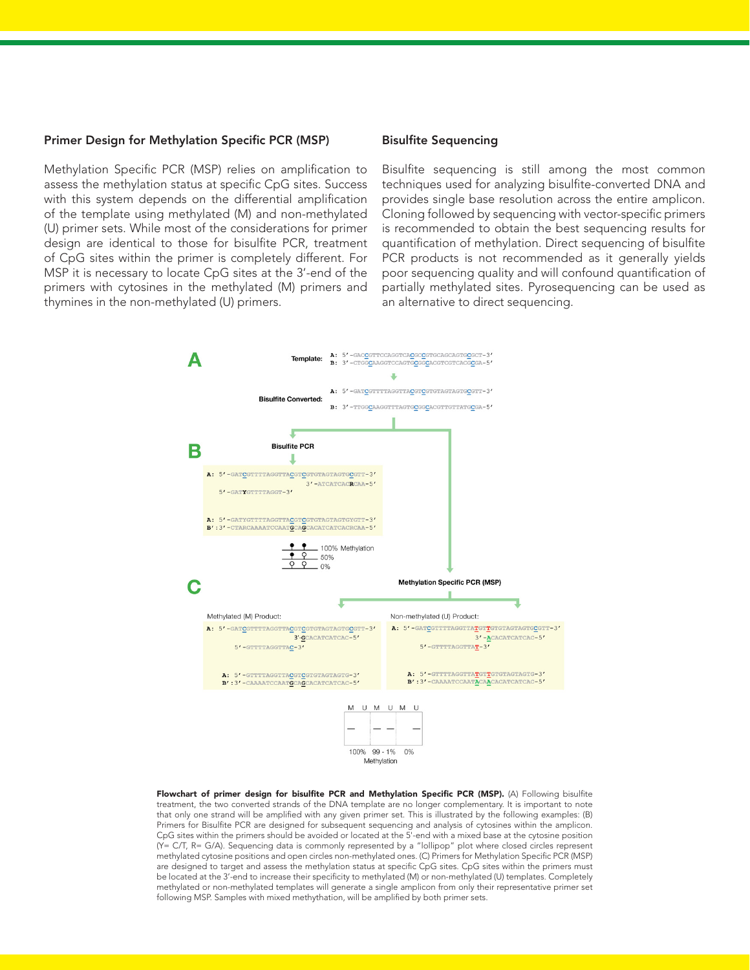#### Primer Design for Methylation Specific PCR (MSP)

Methylation Specific PCR (MSP) relies on amplification to assess the methylation status at specific CpG sites. Success with this system depends on the differential amplification of the template using methylated (M) and non-methylated (U) primer sets. While most of the considerations for primer design are identical to those for bisulfite PCR, treatment of CpG sites within the primer is completely different. For MSP it is necessary to locate CpG sites at the 3'-end of the primers with cytosines in the methylated (M) primers and thymines in the non-methylated (U) primers.

## Bisulfite Sequencing

Bisulfite sequencing is still among the most common techniques used for analyzing bisulfite-converted DNA and provides single base resolution across the entire amplicon. Cloning followed by sequencing with vector-specific primers is recommended to obtain the best sequencing results for quantification of methylation. Direct sequencing of bisulfite PCR products is not recommended as it generally yields poor sequencing quality and will confound quantification of partially methylated sites. Pyrosequencing can be used as an alternative to direct sequencing.



Flowchart of primer design for bisulfite PCR and Methylation Specific PCR (MSP). (A) Following bisulfite treatment, the two converted strands of the DNA template are no longer complementary. It is important to note that only one strand will be amplified with any given primer set. This is illustrated by the following examples: (B) Primers for Bisulfite PCR are designed for subsequent sequencing and analysis of cytosines within the amplicon. CpG sites within the primers should be avoided or located at the 5'-end with a mixed base at the cytosine position (Y= C/T, R= G/A). Sequencing data is commonly represented by a "lollipop" plot where closed circles represent methylated cytosine positions and open circles non-methylated ones. (C) Primers for Methylation Specific PCR (MSP) are designed to target and assess the methylation status at specific CpG sites. CpG sites within the primers must be located at the 3'-end to increase their specificity to methylated (M) or non-methylated (U) templates. Completely methylated or non-methylated templates will generate a single amplicon from only their representative primer set following MSP. Samples with mixed methythation, will be amplified by both primer sets.